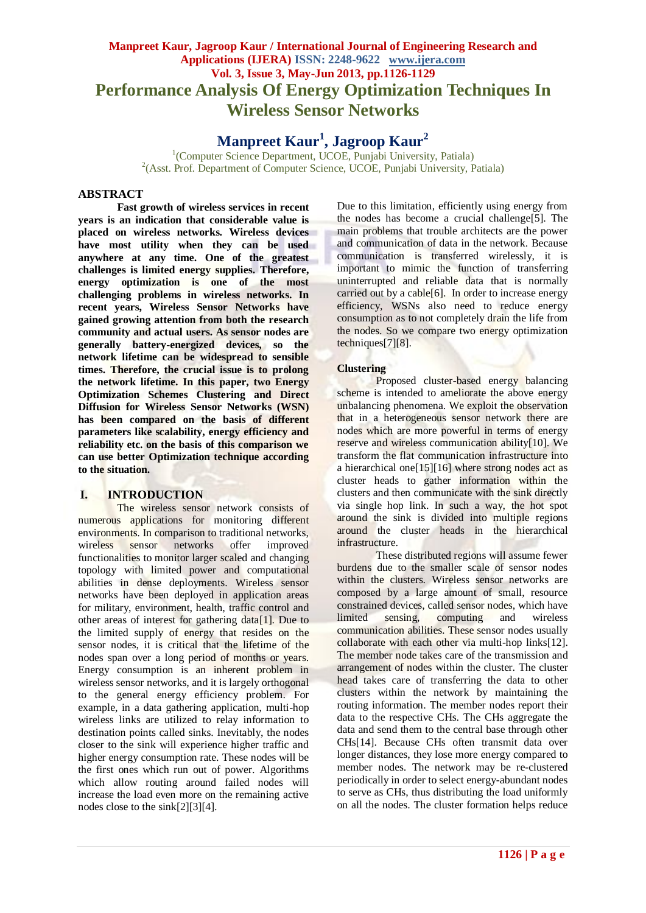# **Manpreet Kaur, Jagroop Kaur / International Journal of Engineering Research and Applications (IJERA) ISSN: 2248-9622 www.ijera.com Vol. 3, Issue 3, May-Jun 2013, pp.1126-1129 Performance Analysis Of Energy Optimization Techniques In Wireless Sensor Networks**

**Manpreet Kaur<sup>1</sup> , Jagroop Kaur<sup>2</sup>**

<sup>1</sup>(Computer Science Department, UCOE, Punjabi University, Patiala) <sup>2</sup>(Asst. Prof. Department of Computer Science, UCOE, Punjabi University, Patiala)

# **ABSTRACT**

**Fast growth of wireless services in recent years is an indication that considerable value is placed on wireless networks. Wireless devices have most utility when they can be used anywhere at any time. One of the greatest challenges is limited energy supplies. Therefore, energy optimization is one of the most challenging problems in wireless networks. In recent years, Wireless Sensor Networks have gained growing attention from both the research community and actual users. As sensor nodes are generally battery-energized devices, so the network lifetime can be widespread to sensible times. Therefore, the crucial issue is to prolong the network lifetime. In this paper, two Energy Optimization Schemes Clustering and Direct Diffusion for Wireless Sensor Networks (WSN) has been compared on the basis of different parameters like scalability, energy efficiency and reliability etc. on the basis of this comparison we can use better Optimization technique according to the situation.**

# **I. INTRODUCTION**

The wireless sensor network consists of numerous applications for monitoring different environments. In comparison to traditional networks, wireless sensor networks offer improved functionalities to monitor larger scaled and changing topology with limited power and computational abilities in dense deployments. Wireless sensor networks have been deployed in application areas for military, environment, health, traffic control and other areas of interest for gathering data[1]. Due to the limited supply of energy that resides on the sensor nodes, it is critical that the lifetime of the nodes span over a long period of months or years. Energy consumption is an inherent problem in wireless sensor networks, and it is largely orthogonal to the general energy efficiency problem. For example, in a data gathering application, multi-hop wireless links are utilized to relay information to destination points called sinks. Inevitably, the nodes closer to the sink will experience higher traffic and higher energy consumption rate. These nodes will be the first ones which run out of power. Algorithms which allow routing around failed nodes will increase the load even more on the remaining active nodes close to the sink[2][3][4].

Due to this limitation, efficiently using energy from the nodes has become a crucial challenge[5]. The main problems that trouble architects are the power and communication of data in the network. Because communication is transferred wirelessly, it is important to mimic the function of transferring uninterrupted and reliable data that is normally carried out by a cable[6]. In order to increase energy efficiency, WSNs also need to reduce energy consumption as to not completely drain the life from the nodes. So we compare two energy optimization techniques[7][8].

## **Clustering**

Proposed cluster-based energy balancing scheme is intended to ameliorate the above energy unbalancing phenomena. We exploit the observation that in a heterogeneous sensor network there are nodes which are more powerful in terms of energy reserve and wireless communication ability[10]. We transform the flat communication infrastructure into a hierarchical one[15][16] where strong nodes act as cluster heads to gather information within the clusters and then communicate with the sink directly via single hop link. In such a way, the hot spot around the sink is divided into multiple regions around the cluster heads in the hierarchical infrastructure.

These distributed regions will assume fewer burdens due to the smaller scale of sensor nodes within the clusters. Wireless sensor networks are composed by a large amount of small, resource constrained devices, called sensor nodes, which have limited sensing, computing and wireless communication abilities. These sensor nodes usually collaborate with each other via multi-hop links[12]. The member node takes care of the transmission and arrangement of nodes within the cluster. The cluster head takes care of transferring the data to other clusters within the network by maintaining the routing information. The member nodes report their data to the respective CHs. The CHs aggregate the data and send them to the central base through other CHs[14]. Because CHs often transmit data over longer distances, they lose more energy compared to member nodes. The network may be re-clustered periodically in order to select energy-abundant nodes to serve as CHs, thus distributing the load uniformly on all the nodes. The cluster formation helps reduce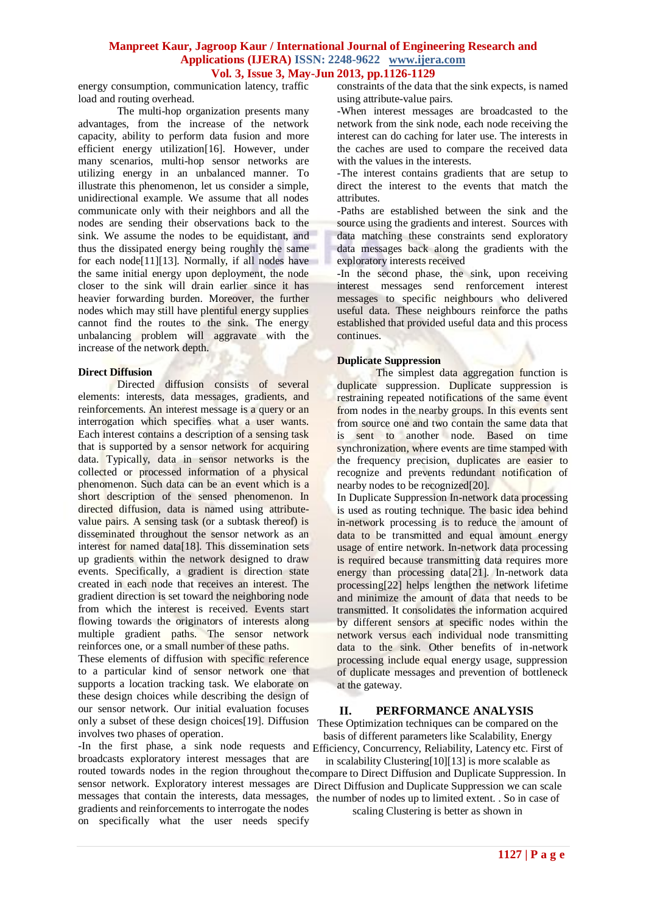#### **Manpreet Kaur, Jagroop Kaur / International Journal of Engineering Research and Applications (IJERA) ISSN: 2248-9622 www.ijera.com Vol. 3, Issue 3, May-Jun 2013, pp.1126-1129**

energy consumption, communication latency, traffic load and routing overhead.

The multi-hop organization presents many advantages, from the increase of the network capacity, ability to perform data fusion and more efficient energy utilization[16]. However, under many scenarios, multi-hop sensor networks are utilizing energy in an unbalanced manner. To illustrate this phenomenon, let us consider a simple, unidirectional example. We assume that all nodes communicate only with their neighbors and all the nodes are sending their observations back to the sink. We assume the nodes to be equidistant, and thus the dissipated energy being roughly the same for each node [11] [13]. Normally, if all nodes have the same initial energy upon deployment, the node closer to the sink will drain earlier since it has heavier forwarding burden. Moreover, the further nodes which may still have plentiful energy supplies cannot find the routes to the sink. The energy unbalancing problem will aggravate with the increase of the network depth.

#### **Direct Diffusion**

Directed diffusion consists of several elements: interests, data messages, gradients, and reinforcements. An interest message is a query or an interrogation which specifies what a user wants. Each interest contains a description of a sensing task that is supported by a sensor network for acquiring data. Typically, data in sensor networks is the collected or processed information of a physical phenomenon. Such data can be an event which is a short description of the sensed phenomenon. In directed diffusion, data is named using attributevalue pairs. A sensing task (or a subtask thereof) is disseminated throughout the sensor network as an interest for named data[18]. This dissemination sets up gradients within the network designed to draw events. Specifically, a gradient is direction state created in each node that receives an interest. The gradient direction is set toward the neighboring node from which the interest is received. Events start flowing towards the originators of interests along multiple gradient paths. The sensor network reinforces one, or a small number of these paths.

These elements of diffusion with specific reference to a particular kind of sensor network one that supports a location tracking task. We elaborate on these design choices while describing the design of our sensor network. Our initial evaluation focuses only a subset of these design choices[19]. Diffusion These Optimization techniques can be compared on the involves two phases of operation.

-In the first phase, a sink node requests and Efficiency, Concurrency, Reliability, Latency etc. First of broadcasts exploratory interest messages that are gradients and reinforcements to interrogate the nodes on specifically what the user needs specify

constraints of the data that the sink expects, is named using attribute-value pairs.

-When interest messages are broadcasted to the network from the sink node, each node receiving the interest can do caching for later use. The interests in the caches are used to compare the received data with the values in the interests.

-The interest contains gradients that are setup to direct the interest to the events that match the attributes.

-Paths are established between the sink and the source using the gradients and interest. Sources with data matching these constraints send exploratory data messages back along the gradients with the exploratory interests received

-In the second phase, the sink, upon receiving interest messages send renforcement interest messages to specific neighbours who delivered useful data. These neighbours reinforce the paths established that provided useful data and this process continues.

#### **Duplicate Suppression**

The simplest data aggregation function is duplicate suppression. Duplicate suppression is restraining repeated notifications of the same event from nodes in the nearby groups. In this events sent from source one and two contain the same data that is sent to another node. Based on time synchronization, where events are time stamped with the frequency precision, duplicates are easier to recognize and prevents redundant notification of nearby nodes to be recognized[20].

In Duplicate Suppression In-network data processing is used as routing technique. The basic idea behind in-network processing is to reduce the amount of data to be transmitted and equal amount energy usage of entire network. In-network data processing is required because transmitting data requires more energy than processing data[21]. In-network data processing[22] helps lengthen the network lifetime and minimize the amount of data that needs to be transmitted. It consolidates the information acquired by different sensors at specific nodes within the network versus each individual node transmitting data to the sink. Other benefits of in-network processing include equal energy usage, suppression of duplicate messages and prevention of bottleneck at the gateway.

#### **II. PERFORMANCE ANALYSIS**

basis of different parameters like Scalability, Energy

routed towards nodes in the region throughout the compare to Direct Diffusion and Duplicate Suppression. In sensor network. Exploratory interest messages are Direct Diffusion and Duplicate Suppression we can scale messages that contain the interests, data messages, the number of nodes up to limited extent. . So in case of in scalability Clustering[10][13] is more scalable as

scaling Clustering is better as shown in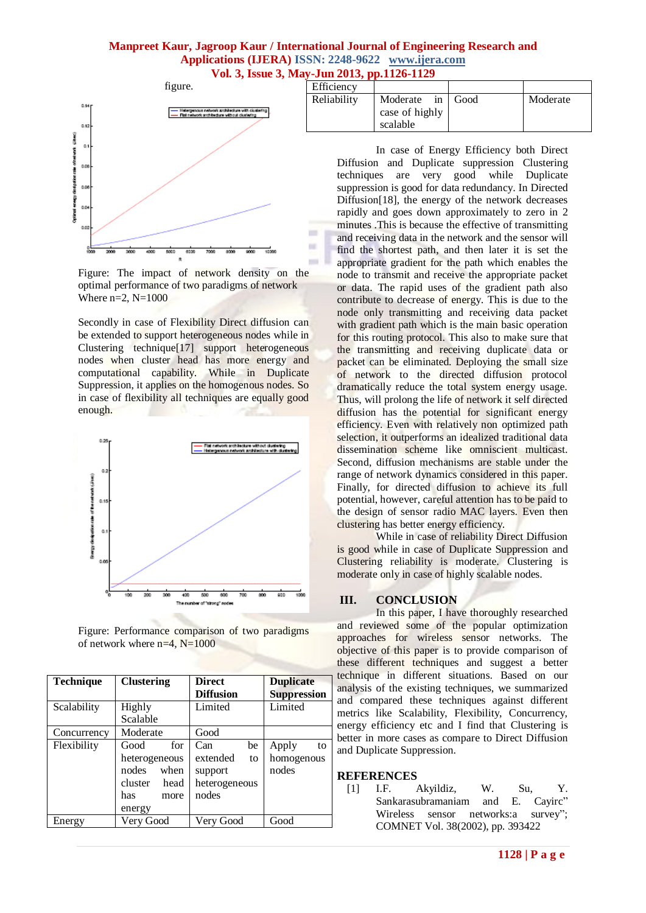# **Manpreet Kaur, Jagroop Kaur / International Journal of Engineering Research and Applications (IJERA) ISSN: 2248-9622 www.ijera.com Vol. 3, Issue 3, May-Jun 2013, pp.1126-1129**

m m  $\sim$ 



Figure: The impact of network density on the optimal performance of two paradigms of network Where  $n=2$ ,  $N=1000$ 

Secondly in case of Flexibility Direct diffusion can be extended to support heterogeneous nodes while in Clustering technique[17] support heterogeneous nodes when cluster head has more energy and computational capability. While in Duplicate Suppression, it applies on the homogenous nodes. So in case of flexibility all techniques are equally good enough.



Figure: Performance comparison of two paradigms of network where  $n=4$ ,  $N=1000$ 

| <b>Technique</b> | <b>Clustering</b>                                                                         | <b>Direct</b><br><b>Diffusion</b>                                | <b>Duplicate</b><br><b>Suppression</b> |
|------------------|-------------------------------------------------------------------------------------------|------------------------------------------------------------------|----------------------------------------|
| Scalability      | Highly<br>Scalable                                                                        | Limited                                                          | Limited                                |
| Concurrency      | Moderate                                                                                  | Good                                                             |                                        |
| Flexibility      | for<br>Good<br>heterogeneous<br>when<br>nodes<br>cluster<br>head<br>has<br>more<br>energy | be<br>Can<br>extended<br>to<br>support<br>heterogeneous<br>nodes | Apply<br>to<br>homogenous<br>nodes     |
| Energy           | Very Good                                                                                 | Very Good                                                        | Good                                   |

| Efficiency  |                                        |                |          |
|-------------|----------------------------------------|----------------|----------|
| Reliability | Moderate<br>case of highly<br>scalable | in $\Box$ Good | Moderate |
|             |                                        |                |          |

In case of Energy Efficiency both Direct Diffusion and Duplicate suppression Clustering techniques are very good while Duplicate suppression is good for data redundancy. In Directed Diffusion<sup>[18]</sup>, the energy of the network decreases rapidly and goes down approximately to zero in 2 minutes .This is because the effective of transmitting and receiving data in the network and the sensor will find the shortest path, and then later it is set the appropriate gradient for the path which enables the node to transmit and receive the appropriate packet or data. The rapid uses of the gradient path also contribute to decrease of energy. This is due to the node only transmitting and receiving data packet with gradient path which is the main basic operation for this routing protocol. This also to make sure that the transmitting and receiving duplicate data or packet can be eliminated. Deploying the small size of network to the directed diffusion protocol dramatically reduce the total system energy usage. Thus, will prolong the life of network it self directed diffusion has the potential for significant energy efficiency. Even with relatively non optimized path selection, it outperforms an idealized traditional data dissemination scheme like omniscient multicast. Second, diffusion mechanisms are stable under the range of network dynamics considered in this paper. Finally, for directed diffusion to achieve its full potential, however, careful attention has to be paid to the design of sensor radio MAC layers. Even then clustering has better energy efficiency.

While in case of reliability Direct Diffusion is good while in case of Duplicate Suppression and Clustering reliability is moderate. Clustering is moderate only in case of highly scalable nodes.

# **III. CONCLUSION**

In this paper, I have thoroughly researched and reviewed some of the popular optimization approaches for wireless sensor networks. The objective of this paper is to provide comparison of these different techniques and suggest a better technique in different situations. Based on our analysis of the existing techniques, we summarized and compared these techniques against different metrics like Scalability, Flexibility, Concurrency, energy efficiency etc and I find that Clustering is better in more cases as compare to Direct Diffusion and Duplicate Suppression.

## **REFERENCES**

[1] I.F. Akyildiz, W. Su, Y. Sankarasubramaniam and E. Cayirc" Wireless sensor networks:a survey"; COMNET Vol. 38(2002), pp. 393422